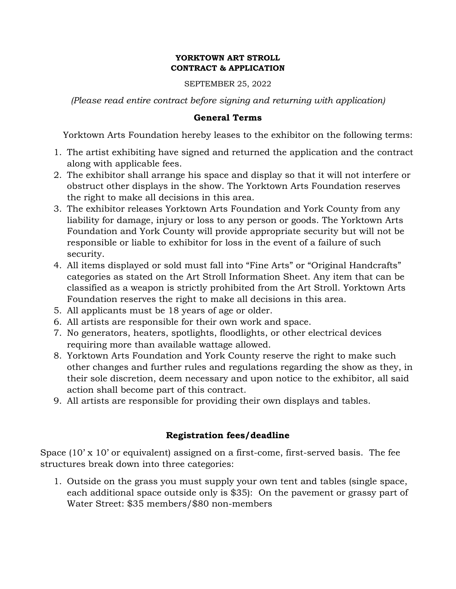#### **YORKTOWN ART STROLL CONTRACT & APPLICATION**

SEPTEMBER 25, 2022

*(Please read entire contract before signing and returning with application)*

## **General Terms**

Yorktown Arts Foundation hereby leases to the exhibitor on the following terms:

- 1. The artist exhibiting have signed and returned the application and the contract along with applicable fees.
- 2. The exhibitor shall arrange his space and display so that it will not interfere or obstruct other displays in the show. The Yorktown Arts Foundation reserves the right to make all decisions in this area.
- 3. The exhibitor releases Yorktown Arts Foundation and York County from any liability for damage, injury or loss to any person or goods. The Yorktown Arts Foundation and York County will provide appropriate security but will not be responsible or liable to exhibitor for loss in the event of a failure of such security.
- 4. All items displayed or sold must fall into "Fine Arts" or "Original Handcrafts" categories as stated on the Art Stroll Information Sheet. Any item that can be classified as a weapon is strictly prohibited from the Art Stroll. Yorktown Arts Foundation reserves the right to make all decisions in this area.
- 5. All applicants must be 18 years of age or older.
- 6. All artists are responsible for their own work and space.
- 7. No generators, heaters, spotlights, floodlights, or other electrical devices requiring more than available wattage allowed.
- 8. Yorktown Arts Foundation and York County reserve the right to make such other changes and further rules and regulations regarding the show as they, in their sole discretion, deem necessary and upon notice to the exhibitor, all said action shall become part of this contract.
- 9. All artists are responsible for providing their own displays and tables.

# **Registration fees/deadline**

Space (10' x 10' or equivalent) assigned on a first-come, first-served basis. The fee structures break down into three categories:

1. Outside on the grass you must supply your own tent and tables (single space, each additional space outside only is \$35): On the pavement or grassy part of Water Street: \$35 members/\$80 non-members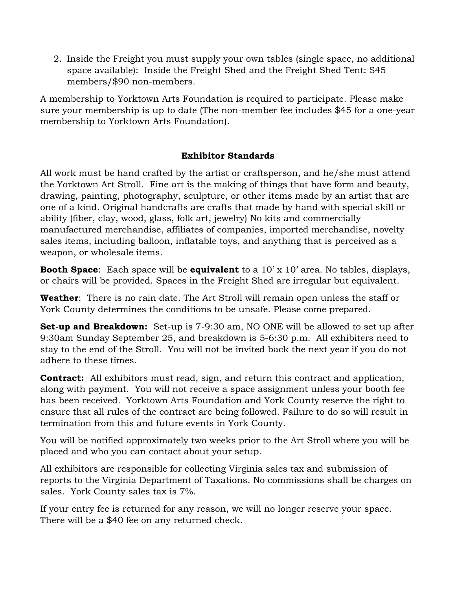2. Inside the Freight you must supply your own tables (single space, no additional space available): Inside the Freight Shed and the Freight Shed Tent: \$45 members/\$90 non-members.

A membership to Yorktown Arts Foundation is required to participate. Please make sure your membership is up to date (The non-member fee includes \$45 for a one-year membership to Yorktown Arts Foundation).

### **Exhibitor Standards**

All work must be hand crafted by the artist or craftsperson, and he/she must attend the Yorktown Art Stroll. Fine art is the making of things that have form and beauty, drawing, painting, photography, sculpture, or other items made by an artist that are one of a kind. Original handcrafts are crafts that made by hand with special skill or ability (fiber, clay, wood, glass, folk art, jewelry) No kits and commercially manufactured merchandise, affiliates of companies, imported merchandise, novelty sales items, including balloon, inflatable toys, and anything that is perceived as a weapon, or wholesale items.

**Booth Space**: Each space will be **equivalent** to a 10'x 10' area. No tables, displays, or chairs will be provided. Spaces in the Freight Shed are irregular but equivalent.

**Weather**: There is no rain date. The Art Stroll will remain open unless the staff or York County determines the conditions to be unsafe. Please come prepared.

**Set-up and Breakdown:** Set-up is 7-9:30 am, NO ONE will be allowed to set up after 9:30am Sunday September 25, and breakdown is 5-6:30 p.m. All exhibiters need to stay to the end of the Stroll. You will not be invited back the next year if you do not adhere to these times.

**Contract:** All exhibitors must read, sign, and return this contract and application, along with payment. You will not receive a space assignment unless your booth fee has been received. Yorktown Arts Foundation and York County reserve the right to ensure that all rules of the contract are being followed. Failure to do so will result in termination from this and future events in York County.

You will be notified approximately two weeks prior to the Art Stroll where you will be placed and who you can contact about your setup.

All exhibitors are responsible for collecting Virginia sales tax and submission of reports to the Virginia Department of Taxations. No commissions shall be charges on sales. York County sales tax is 7%.

If your entry fee is returned for any reason, we will no longer reserve your space. There will be a \$40 fee on any returned check.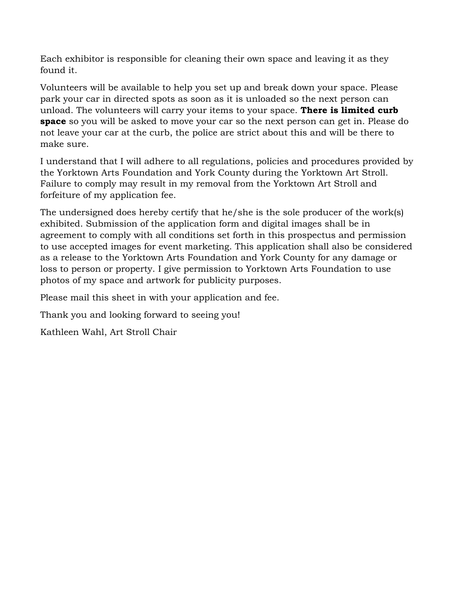Each exhibitor is responsible for cleaning their own space and leaving it as they found it.

Volunteers will be available to help you set up and break down your space. Please park your car in directed spots as soon as it is unloaded so the next person can unload. The volunteers will carry your items to your space. **There is limited curb space** so you will be asked to move your car so the next person can get in. Please do not leave your car at the curb, the police are strict about this and will be there to make sure.

I understand that I will adhere to all regulations, policies and procedures provided by the Yorktown Arts Foundation and York County during the Yorktown Art Stroll. Failure to comply may result in my removal from the Yorktown Art Stroll and forfeiture of my application fee.

The undersigned does hereby certify that he/she is the sole producer of the work(s) exhibited. Submission of the application form and digital images shall be in agreement to comply with all conditions set forth in this prospectus and permission to use accepted images for event marketing. This application shall also be considered as a release to the Yorktown Arts Foundation and York County for any damage or loss to person or property. I give permission to Yorktown Arts Foundation to use photos of my space and artwork for publicity purposes.

Please mail this sheet in with your application and fee.

Thank you and looking forward to seeing you!

Kathleen Wahl, Art Stroll Chair